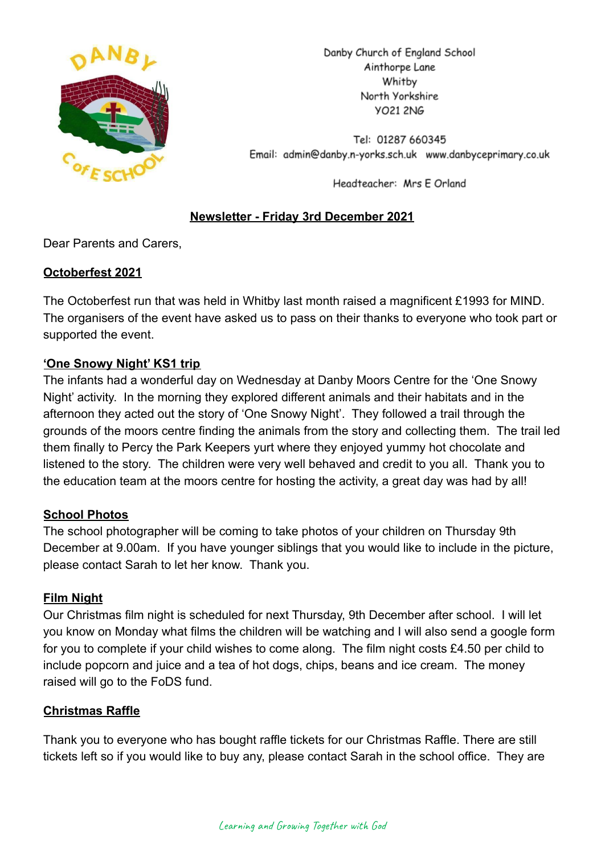

Danby Church of England School Ainthorpe Lane Whitby North Yorkshire **YO21 2NG** 

Tel: 01287 660345 Email: admin@danby.n-yorks.sch.uk www.danbyceprimary.co.uk

Headteacher: Mrs E Orland

# **Newsletter - Friday 3rd December 2021**

Dear Parents and Carers,

### **Octoberfest 2021**

The Octoberfest run that was held in Whitby last month raised a magnificent £1993 for MIND. The organisers of the event have asked us to pass on their thanks to everyone who took part or supported the event.

### **'One Snowy Night' KS1 trip**

The infants had a wonderful day on Wednesday at Danby Moors Centre for the 'One Snowy Night' activity. In the morning they explored different animals and their habitats and in the afternoon they acted out the story of 'One Snowy Night'. They followed a trail through the grounds of the moors centre finding the animals from the story and collecting them. The trail led them finally to Percy the Park Keepers yurt where they enjoyed yummy hot chocolate and listened to the story. The children were very well behaved and credit to you all. Thank you to the education team at the moors centre for hosting the activity, a great day was had by all!

# **School Photos**

The school photographer will be coming to take photos of your children on Thursday 9th December at 9.00am. If you have younger siblings that you would like to include in the picture, please contact Sarah to let her know. Thank you.

#### **Film Night**

Our Christmas film night is scheduled for next Thursday, 9th December after school. I will let you know on Monday what films the children will be watching and I will also send a google form for you to complete if your child wishes to come along. The film night costs £4.50 per child to include popcorn and juice and a tea of hot dogs, chips, beans and ice cream. The money raised will go to the FoDS fund.

#### **Christmas Raffle**

Thank you to everyone who has bought raffle tickets for our Christmas Raffle. There are still tickets left so if you would like to buy any, please contact Sarah in the school office. They are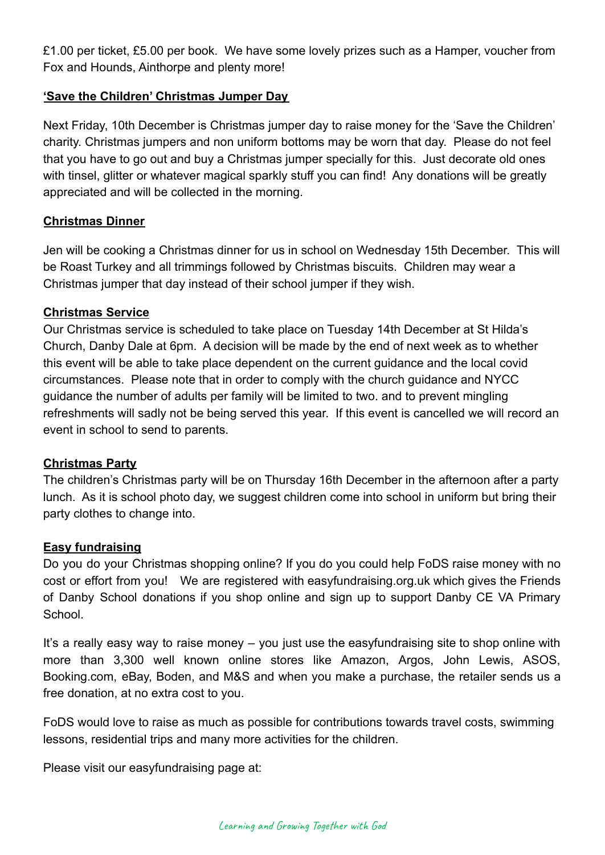£1.00 per ticket, £5.00 per book. We have some lovely prizes such as a Hamper, voucher from Fox and Hounds, Ainthorpe and plenty more!

# **'Save the Children' Christmas Jumper Day**

Next Friday, 10th December is Christmas jumper day to raise money for the 'Save the Children' charity. Christmas jumpers and non uniform bottoms may be worn that day. Please do not feel that you have to go out and buy a Christmas jumper specially for this. Just decorate old ones with tinsel, glitter or whatever magical sparkly stuff you can find! Any donations will be greatly appreciated and will be collected in the morning.

### **Christmas Dinner**

Jen will be cooking a Christmas dinner for us in school on Wednesday 15th December. This will be Roast Turkey and all trimmings followed by Christmas biscuits. Children may wear a Christmas jumper that day instead of their school jumper if they wish.

#### **Christmas Service**

Our Christmas service is scheduled to take place on Tuesday 14th December at St Hilda's Church, Danby Dale at 6pm. A decision will be made by the end of next week as to whether this event will be able to take place dependent on the current guidance and the local covid circumstances. Please note that in order to comply with the church guidance and NYCC guidance the number of adults per family will be limited to two. and to prevent mingling refreshments will sadly not be being served this year. If this event is cancelled we will record an event in school to send to parents.

#### **Christmas Party**

The children's Christmas party will be on Thursday 16th December in the afternoon after a party lunch. As it is school photo day, we suggest children come into school in uniform but bring their party clothes to change into.

#### **Easy fundraising**

Do you do your Christmas shopping online? If you do you could help FoDS raise money with no cost or effort from you! We are registered with easyfundraising.org.uk which gives the Friends of Danby School donations if you shop online and sign up to support Danby CE VA Primary School.

It's a really easy way to raise money – you just use the easyfundraising site to shop online with more than 3,300 well known online stores like Amazon, Argos, John Lewis, ASOS, Booking.com, eBay, Boden, and M&S and when you make a purchase, the retailer sends us a free donation, at no extra cost to you.

FoDS would love to raise as much as possible for contributions towards travel costs, swimming lessons, residential trips and many more activities for the children.

Please visit our easyfundraising page at: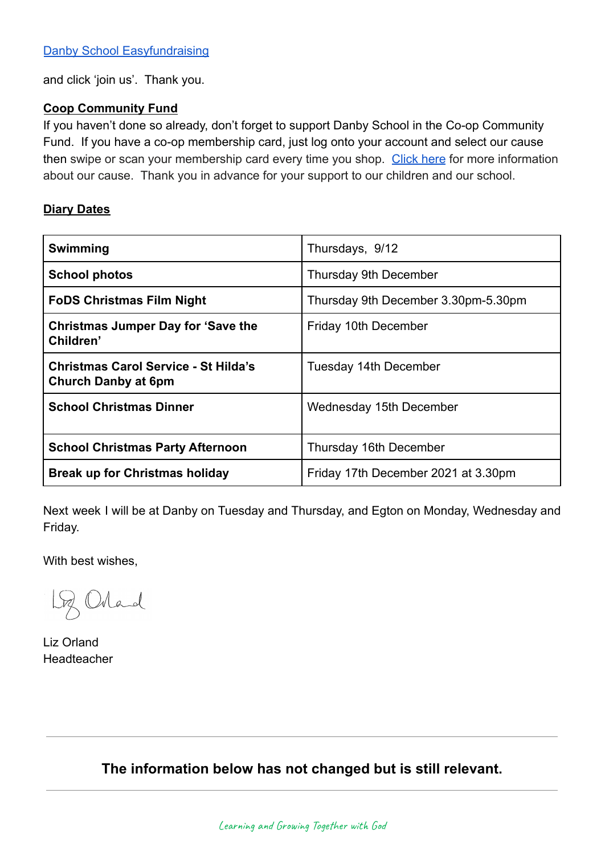and click 'join us'. Thank you.

#### **Coop Community Fund**

If you haven't done so already, don't forget to support Danby School in the Co-op Community Fund. If you have a co-op membership card, just log onto your account and select our cause then swipe or scan your membership card every time you shop. [Click here](https://co-operate.coop.co.uk/groups/danby-church-of-england-primary-school/) for more information about our cause. Thank you in advance for your support to our children and our school.

#### **Diary Dates**

| <b>Swimming</b>                                                           | Thursdays, 9/12                     |
|---------------------------------------------------------------------------|-------------------------------------|
| <b>School photos</b>                                                      | Thursday 9th December               |
| <b>FoDS Christmas Film Night</b>                                          | Thursday 9th December 3.30pm-5.30pm |
| <b>Christmas Jumper Day for 'Save the</b><br>Children'                    | Friday 10th December                |
| <b>Christmas Carol Service - St Hilda's</b><br><b>Church Danby at 6pm</b> | Tuesday 14th December               |
| <b>School Christmas Dinner</b>                                            | Wednesday 15th December             |
| <b>School Christmas Party Afternoon</b>                                   | Thursday 16th December              |
| <b>Break up for Christmas holiday</b>                                     | Friday 17th December 2021 at 3.30pm |

Next week I will be at Danby on Tuesday and Thursday, and Egton on Monday, Wednesday and Friday.

With best wishes,

Loz Orland

Liz Orland Headteacher

**The information below has not changed but is still relevant.**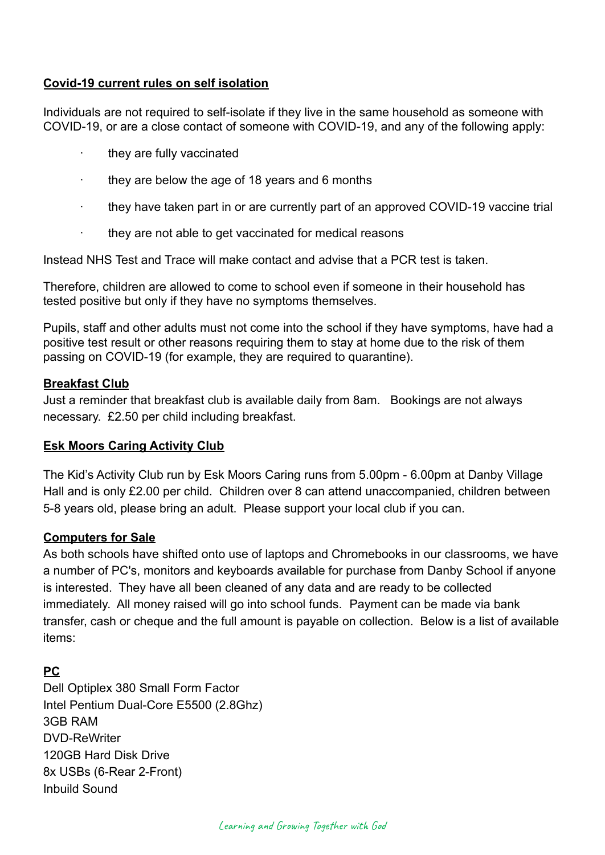# **Covid-19 current rules on self isolation**

Individuals are not required to self-isolate if they live in the same household as someone with COVID-19, or are a close contact of someone with COVID-19, and any of the following apply:

- they are fully vaccinated
- they are below the age of 18 years and 6 months
- · they have taken part in or are currently part of an approved COVID-19 vaccine trial
- · they are not able to get vaccinated for medical reasons

Instead NHS Test and Trace will make contact and advise that a PCR test is taken.

Therefore, children are allowed to come to school even if someone in their household has tested positive but only if they have no symptoms themselves.

Pupils, staff and other adults must not come into the school if they have symptoms, have had a positive test result or other reasons requiring them to stay at home due to the risk of them passing on COVID-19 (for example, they are required to quarantine).

#### **Breakfast Club**

Just a reminder that breakfast club is available daily from 8am. Bookings are not always necessary. £2.50 per child including breakfast.

#### **Esk Moors Caring Activity Club**

The Kid's Activity Club run by Esk Moors Caring runs from 5.00pm - 6.00pm at Danby Village Hall and is only £2.00 per child. Children over 8 can attend unaccompanied, children between 5-8 years old, please bring an adult. Please support your local club if you can.

#### **Computers for Sale**

As both schools have shifted onto use of laptops and Chromebooks in our classrooms, we have a number of PC's, monitors and keyboards available for purchase from Danby School if anyone is interested. They have all been cleaned of any data and are ready to be collected immediately. All money raised will go into school funds. Payment can be made via bank transfer, cash or cheque and the full amount is payable on collection. Below is a list of available items:

# **PC**

Dell Optiplex 380 Small Form Factor Intel Pentium Dual-Core E5500 (2.8Ghz) 3GB RAM DVD-ReWriter 120GB Hard Disk Drive 8x USBs (6-Rear 2-Front) Inbuild Sound